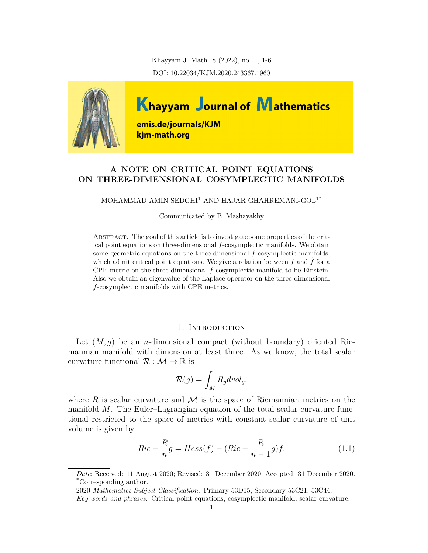Khayyam J. Math. 8 (2022), no. 1, 1-6 DOI: 10.22034/KJM.2020.243367.1960



# **A NOTE ON CRITICAL POINT EQUATIONS ON THREE-DIMENSIONAL COSYMPLECTIC MANIFOLDS**

## MOHAMMAD AMIN SEDGHI<sup>1</sup> AND HAJAR GHAHREMANI-GOL<sup>1\*</sup>

Communicated by B. Mashayakhy

ABSTRACT. The goal of this article is to investigate some properties of the critical point equations on three-dimensional *f*-cosymplectic manifolds. We obtain some geometric equations on the three-dimensional *f*-cosymplectic manifolds, which admit critical point equations. We give a relation between  $f$  and  $\hat{f}$  for a CPE metric on the three-dimensional *f*-cosymplectic manifold to be Einstein. Also we obtain an eigenvalue of the Laplace operator on the three-dimensional *f*-cosymplectic manifolds with CPE metrics.

# 1. INTRODUCTION

Let  $(M, g)$  be an *n*-dimensional compact (without boundary) oriented Riemannian manifold with dimension at least three. As we know, the total scalar curvature functional  $\mathcal{R}: \mathcal{M} \to \mathbb{R}$  is

$$
\mathcal{R}(g) = \int_M R_g dvol_g,
$$

where  $R$  is scalar curvature and  $M$  is the space of Riemannian metrics on the manifold *M*. The Euler–Lagrangian equation of the total scalar curvature functional restricted to the space of metrics with constant scalar curvature of unit volume is given by

<span id="page-0-0"></span>
$$
Ric - \frac{R}{n}g = Hess(f) - (Ric - \frac{R}{n-1}g)f,
$$
\n(1.1)

*Date*: Received: 11 August 2020; Revised: 31 December 2020; Accepted: 31 December 2020. \*Corresponding author.

<sup>2020</sup> *Mathematics Subject Classification.* Primary 53D15; Secondary 53C21, 53C44.

*Key words and phrases.* Critical point equations, cosymplectic manifold, scalar curvature.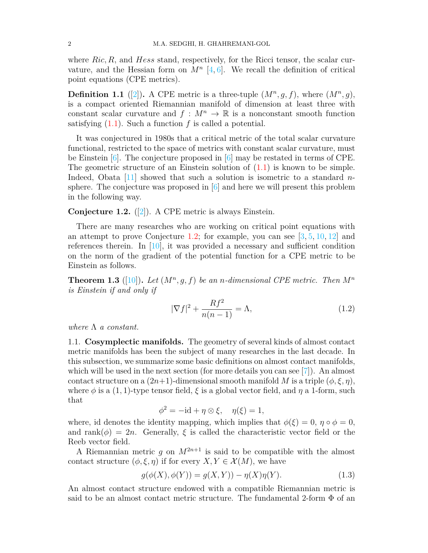where *Ric, R*, and *Hess* stand, respectively, for the Ricci tensor, the scalar curvature, and the Hessian form on  $M^n$  [\[4,](#page-5-0) [6](#page-5-1)]. We recall the definition of critical point equations (CPE metrics).

**Definition 1.1** ([\[2\]](#page-5-2)). A CPE metric is a three-tuple  $(M^n, g, f)$ , where  $(M^n, g)$ , is a compact oriented Riemannian manifold of dimension at least three with constant scalar curvature and  $f : M^n \to \mathbb{R}$  is a nonconstant smooth function satisfying  $(1.1)$  $(1.1)$ . Such a function f is called a potential.

It was conjectured in 1980s that a critical metric of the total scalar curvature functional, restricted to the space of metrics with constant scalar curvature, must be Einstein  $[6]$ . The conjecture proposed in  $[6]$  may be restated in terms of CPE. The geometric structure of an Einstein solution of [\(1.1](#page-0-0)) is known to be simple. Indeed, Obata [[11\]](#page-5-3) showed that such a solution is isometric to a standard *n*sphere. The conjecture was proposed in [[6](#page-5-1)] and here we will present this problem in the following way.

<span id="page-1-0"></span>**Conjecture 1.2.** ([[2](#page-5-2)]). A CPE metric is always Einstein.

There are many researches who are working on critical point equations with an attempt to prove Conjecture [1.2;](#page-1-0) for example, you can see [[3,](#page-5-4) [5](#page-5-5), [10](#page-5-6), [12](#page-5-7)] and references therein. In  $[10]$  $[10]$  $[10]$ , it was provided a necessary and sufficient condition on the norm of the gradient of the potential function for a CPE metric to be Einstein as follows.

**Theorem 1.3** ([\[10](#page-5-6)]). Let  $(M^n, g, f)$  be an *n*-dimensional CPE metric. Then  $M^n$ *is Einstein if and only if*

<span id="page-1-1"></span>
$$
|\nabla f|^2 + \frac{Rf^2}{n(n-1)} = \Lambda,\tag{1.2}
$$

*where* Λ *a constant.*

1.1. **Cosymplectic manifolds.** The geometry of several kinds of almost contact metric manifolds has been the subject of many researches in the last decade. In this subsection, we summarize some basic definitions on almost contact manifolds, which will be used in the next section (for more details you can see [\[7](#page-5-8)]). An almost contact structure on a  $(2n+1)$ -dimensional smooth manifold *M* is a triple  $(\phi, \xi, \eta)$ , where  $\phi$  is a (1, 1)-type tensor field,  $\xi$  is a global vector field, and  $\eta$  a 1-form, such that

$$
\phi^2 = -id + \eta \otimes \xi, \quad \eta(\xi) = 1,
$$

where, id denotes the identity mapping, which implies that  $\phi(\xi) = 0$ ,  $\eta \circ \phi = 0$ , and rank $(\phi) = 2n$ . Generally,  $\xi$  is called the characteristic vector field or the Reeb vector field.

A Riemannian metric q on  $M^{2n+1}$  is said to be compatible with the almost contact structure  $(\phi, \xi, \eta)$  if for every  $X, Y \in \mathcal{X}(M)$ , we have

<span id="page-1-2"></span>
$$
g(\phi(X), \phi(Y)) = g(X, Y)) - \eta(X)\eta(Y). \tag{1.3}
$$

An almost contact structure endowed with a compatible Riemannian metric is said to be an almost contact metric structure. The fundamental 2-form  $\Phi$  of an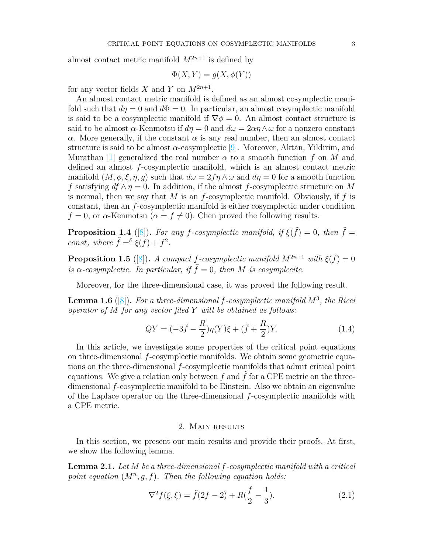almost contact metric manifold  $M^{2n+1}$  is defined by

$$
\Phi(X, Y) = g(X, \phi(Y))
$$

for any vector fields *X* and *Y* on  $M^{2n+1}$ .

An almost contact metric manifold is defined as an almost cosymplectic manifold such that  $d\eta = 0$  and  $d\Phi = 0$ . In particular, an almost cosymplectic manifold is said to be a cosymplectic manifold if  $\nabla \phi = 0$ . An almost contact structure is said to be almost  $\alpha$ -Kenmotsu if  $d\eta = 0$  and  $d\omega = 2\alpha\eta \wedge \omega$  for a nonzero constant *α*. More generally, if the constant  $\alpha$  is any real number, then an almost contact structure is said to be almost *α*-cosymplectic [\[9\]](#page-5-9). Moreover, Aktan, Yildirim, and Murathan [\[1\]](#page-5-10) generalized the real number  $\alpha$  to a smooth function  $f$  on  $M$  and defined an almost *f*-cosymplectic manifold, which is an almost contact metric manifold  $(M, \phi, \xi, \eta, g)$  such that  $d\omega = 2f\eta \wedge \omega$  and  $d\eta = 0$  for a smooth function *f* satisfying  $df \wedge \eta = 0$ . In addition, if the almost *f*-cosymplectic structure on *M* is normal, then we say that *M* is an *f*-cosymplectic manifold. Obviously, if *f* is constant, then an *f*-cosymplectic manifold is either cosymplectic under condition  $f = 0$ , or  $\alpha$ -Kenmotsu ( $\alpha = f \neq 0$ ). Chen proved the following results.

**Proposition 1.4** ([[8\]](#page-5-11)). For any *f*-cosymplectic manifold, if  $\xi(\tilde{f}) = 0$ , then  $\tilde{f} =$ *const, where*  $\tilde{f} = \delta \xi(f) + f^2$ .

**Proposition 1.5** ([\[8\]](#page-5-11)). *A compact f*-cosymplectic manifold  $M^{2n+1}$  with  $\xi(\tilde{f}) = 0$ *is*  $\alpha$ -cosymplectic. In particular, if  $\tilde{f} = 0$ , then *M* is cosymplecitc.

Moreover, for the three-dimensional case, it was proved the following result.

**Lemma 1.6** ([[8\]](#page-5-11))**.** *For a three-dimensional f-cosymplectic manifold M*<sup>3</sup> *, the Ricci operator of M for any vector filed Y will be obtained as follows:*

<span id="page-2-0"></span>
$$
QY = (-3\tilde{f} - \frac{R}{2})\eta(Y)\xi + (\tilde{f} + \frac{R}{2})Y.
$$
 (1.4)

In this article, we investigate some properties of the critical point equations on three-dimensional *f*-cosymplectic manifolds. We obtain some geometric equations on the three-dimensional *f*-cosymplectic manifolds that admit critical point equations. We give a relation only between  $f$  and  $f$  for a CPE metric on the threedimensional *f*-cosymplectic manifold to be Einstein. Also we obtain an eigenvalue of the Laplace operator on the three-dimensional *f*-cosymplectic manifolds with a CPE metric.

#### 2. Main results

In this section, we present our main results and provide their proofs. At first, we show the following lemma.

**Lemma 2.1.** *Let M be a three-dimensional f-cosymplectic manifold with a critical* point equation  $(M^n, g, f)$ . Then the following equation holds:

<span id="page-2-1"></span>
$$
\nabla^2 f(\xi, \xi) = \tilde{f}(2f - 2) + R(\frac{f}{2} - \frac{1}{3}).\tag{2.1}
$$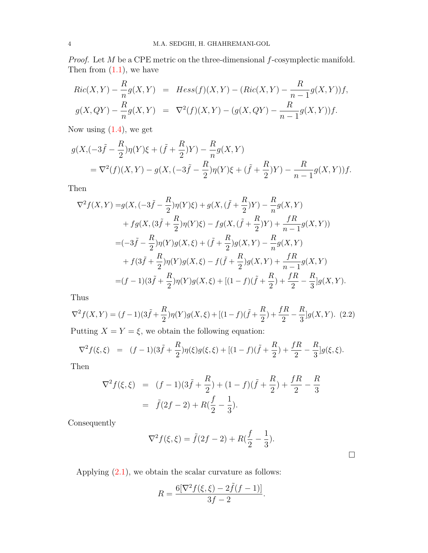*Proof.* Let *M* be a CPE metric on the three-dimensional *f*-cosymplectic manifold. Then from  $(1.1)$  $(1.1)$ , we have

$$
Ric(X,Y) - \frac{R}{n}g(X,Y) = Hess(f)(X,Y) - (Ric(X,Y) - \frac{R}{n-1}g(X,Y))f,
$$
  

$$
g(X,QY) - \frac{R}{n}g(X,Y) = \nabla^2(f)(X,Y) - (g(X,QY) - \frac{R}{n-1}g(X,Y))f.
$$

Now using  $(1.4)$  $(1.4)$ , we get

$$
g(X, (-3\tilde{f} - \frac{R}{2})\eta(Y)\xi + (\tilde{f} + \frac{R}{2})Y) - \frac{R}{n}g(X, Y)
$$
  
=  $\nabla^2(f)(X, Y) - g(X, (-3\tilde{f} - \frac{R}{2})\eta(Y)\xi + (\tilde{f} + \frac{R}{2})Y) - \frac{R}{n-1}g(X, Y))f.$ 

Then

$$
\nabla^2 f(X,Y) = g(X, (-3\tilde{f} - \frac{R}{2})\eta(Y)\xi) + g(X, (\tilde{f} + \frac{R}{2})Y) - \frac{R}{n}g(X,Y) + fg(X, (3\tilde{f} + \frac{R}{2})\eta(Y)\xi) - fg(X, (\tilde{f} + \frac{R}{2})Y) + \frac{fR}{n-1}g(X,Y)) = (-3\tilde{f} - \frac{R}{2})\eta(Y)g(X,\xi) + (\tilde{f} + \frac{R}{2})g(X,Y) - \frac{R}{n}g(X,Y) + f(3\tilde{f} + \frac{R}{2})\eta(Y)g(X,\xi) - f(\tilde{f} + \frac{R}{2})g(X,Y) + \frac{fR}{n-1}g(X,Y) = (f-1)(3\tilde{f} + \frac{R}{2})\eta(Y)g(X,\xi) + [(1-f)(\tilde{f} + \frac{R}{2}) + \frac{fR}{2} - \frac{R}{3}]g(X,Y).
$$

Thus

<span id="page-3-0"></span>
$$
\nabla^2 f(X,Y) = (f-1)(3\tilde{f} + \frac{R}{2})\eta(Y)g(X,\xi) + [(1-f)(\tilde{f} + \frac{R}{2}) + \frac{fR}{2} - \frac{R}{3}]g(X,Y). \tag{2.2}
$$

Putting  $X = Y = \xi$ , we obtain the following equation:

$$
\nabla^2 f(\xi, \xi) = (f-1)(3\tilde{f} + \frac{R}{2})\eta(\xi)g(\xi, \xi) + [(1-f)(\tilde{f} + \frac{R}{2}) + \frac{fR}{2} - \frac{R}{3}]g(\xi, \xi).
$$

Then

$$
\nabla^2 f(\xi, \xi) = (f - 1)(3\tilde{f} + \frac{R}{2}) + (1 - f)(\tilde{f} + \frac{R}{2}) + \frac{fR}{2} - \frac{R}{3}
$$
  
=  $\tilde{f}(2f - 2) + R(\frac{f}{2} - \frac{1}{3}).$ 

Consequently

$$
\nabla^2 f(\xi, \xi) = \tilde{f}(2f - 2) + R(\frac{f}{2} - \frac{1}{3}).
$$

□

Applying [\(2.1](#page-2-1)), we obtain the scalar curvature as follows:

$$
R = \frac{6[\nabla^2 f(\xi, \xi) - 2\tilde{f}(f-1)]}{3f - 2}.
$$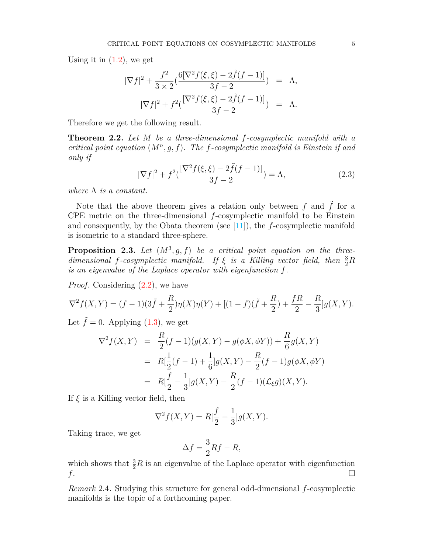Using it in  $(1.2)$ , we get

$$
|\nabla f|^2 + \frac{f^2}{3 \times 2} \left( \frac{6[\nabla^2 f(\xi, \xi) - 2\tilde{f}(f - 1)]}{3f - 2} \right) = \Lambda,
$$
  

$$
|\nabla f|^2 + f^2 \left( \frac{[\nabla^2 f(\xi, \xi) - 2\tilde{f}(f - 1)]}{3f - 2} \right) = \Lambda.
$$

Therefore we get the following result.

**Theorem 2.2.** *Let M be a three-dimensional f-cosymplectic manifold with a critical point equation* (*M<sup>n</sup> , g, f*)*. The f-cosymplectic manifold is Einstein if and only if*

$$
|\nabla f|^2 + f^2(\frac{[\nabla^2 f(\xi, \xi) - 2\tilde{f}(f - 1)]}{3f - 2}) = \Lambda,
$$
\n(2.3)

*where* Λ *is a constant.*

Note that the above theorem gives a relation only between  $f$  and  $\tilde{f}$  for a CPE metric on the three-dimensional *f*-cosymplectic manifold to be Einstein and consequently, by the Obata theorem (see [[11\]](#page-5-3)), the *f*-cosymplectic manifold is isometric to a standard three-sphere.

**Proposition 2.3.** Let  $(M^3, g, f)$  be a critical point equation on the three*dimensional f-cosymplectic manifold.* If  $\xi$  *is a Killing vector field, then*  $\frac{3}{2}R$ *is an eigenvalue of the Laplace operator with eigenfunction f.*

*Proof.* Considering  $(2.2)$  $(2.2)$ , we have

$$
\nabla^2 f(X,Y) = (f-1)(3\tilde{f} + \frac{R}{2})\eta(X)\eta(Y) + [(1-f)(\tilde{f} + \frac{R}{2}) + \frac{fR}{2} - \frac{R}{3}]g(X,Y).
$$

Let  $\tilde{f} = 0$ . Applying ([1.3\)](#page-1-2), we get

$$
\nabla^2 f(X, Y) = \frac{R}{2}(f - 1)(g(X, Y) - g(\phi X, \phi Y)) + \frac{R}{6}g(X, Y)
$$
  
=  $R[\frac{1}{2}(f - 1) + \frac{1}{6}]g(X, Y) - \frac{R}{2}(f - 1)g(\phi X, \phi Y)$   
=  $R[\frac{f}{2} - \frac{1}{3}]g(X, Y) - \frac{R}{2}(f - 1)(\mathcal{L}_{\xi}g)(X, Y).$ 

If *ξ* is a Killing vector field, then

$$
\nabla^2 f(X, Y) = R[\frac{f}{2} - \frac{1}{3}]g(X, Y).
$$

Taking trace, we get

$$
\Delta f = \frac{3}{2}Rf - R,
$$

which shows that  $\frac{3}{2}R$  is an eigenvalue of the Laplace operator with eigenfunction  $f$ .

*Remark* 2.4*.* Studying this structure for general odd-dimensional *f*-cosymplectic manifolds is the topic of a forthcoming paper.